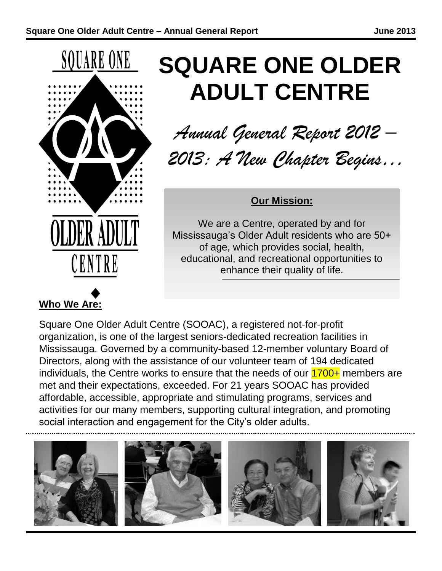

# **Who We Are:**

# **SQUARE ONE OLDER ADULT CENTRE**

*Annual General Report 2012 – 2013: A New Chapter Begins…*

#### **Our Mission:**

We are a Centre, operated by and for Mississauga's Older Adult residents who are 50+ of age, which provides social, health, educational, and recreational opportunities to enhance their quality of life.

Square One Older Adult Centre (SOOAC), a registered not-for-profit organization, is one of the largest seniors-dedicated recreation facilities in Mississauga. Governed by a community-based 12-member voluntary Board of Directors, along with the assistance of our volunteer team of 194 dedicated individuals, the Centre works to ensure that the needs of our  $1700+$  members are met and their expectations, exceeded. For 21 years SOOAC has provided affordable, accessible, appropriate and stimulating programs, services and activities for our many members, supporting cultural integration, and promoting social interaction and engagement for the City's older adults.

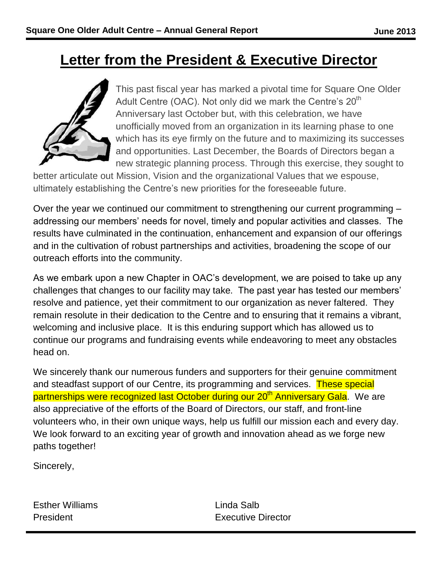## **Letter from the President & Executive Director**



This past fiscal year has marked a pivotal time for Square One Older Adult Centre (OAC). Not only did we mark the Centre's  $20<sup>th</sup>$ Anniversary last October but, with this celebration, we have unofficially moved from an organization in its learning phase to one which has its eye firmly on the future and to maximizing its successes and opportunities. Last December, the Boards of Directors began a new strategic planning process. Through this exercise, they sought to

better articulate out Mission, Vision and the organizational Values that we espouse, ultimately establishing the Centre's new priorities for the foreseeable future.

Over the year we continued our commitment to strengthening our current programming – addressing our members' needs for novel, timely and popular activities and classes. The results have culminated in the continuation, enhancement and expansion of our offerings and in the cultivation of robust partnerships and activities, broadening the scope of our outreach efforts into the community.

As we embark upon a new Chapter in OAC's development, we are poised to take up any challenges that changes to our facility may take. The past year has tested our members' resolve and patience, yet their commitment to our organization as never faltered. They remain resolute in their dedication to the Centre and to ensuring that it remains a vibrant, welcoming and inclusive place. It is this enduring support which has allowed us to continue our programs and fundraising events while endeavoring to meet any obstacles head on.

We sincerely thank our numerous funders and supporters for their genuine commitment and steadfast support of our Centre, its programming and services. These special partnerships were recognized last October during our 20<sup>th</sup> Anniversary Gala. We are also appreciative of the efforts of the Board of Directors, our staff, and front-line volunteers who, in their own unique ways, help us fulfill our mission each and every day. We look forward to an exciting year of growth and innovation ahead as we forge new paths together!

Sincerely,

Esther Williams Linda Salb

President **Executive Director**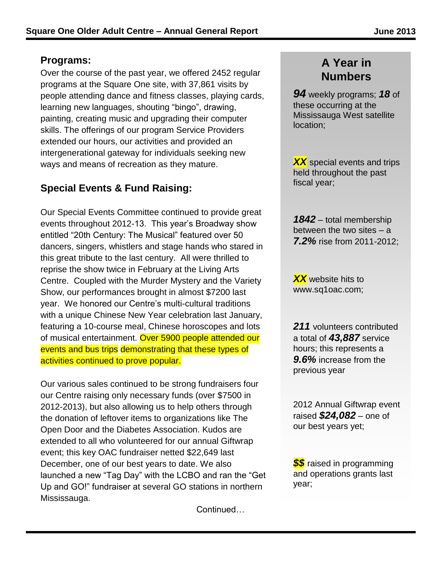#### **Programs:**

Over the course of the past year, we offered 2452 regular programs at the Square One site, with 37,861 visits by people attending dance and fitness classes, playing cards, learning new languages, shouting "bingo", drawing, painting, creating music and upgrading their computer skills. The offerings of our program Service Providers extended our hours, our activities and provided an intergenerational gateway for individuals seeking new ways and means of recreation as they mature.

#### **Special Events & Fund Raising:**

Our Special Events Committee continued to provide great events throughout 2012-13. This year's Broadway show entitled "20th Century: The Musical" featured over 50 dancers, singers, whistlers and stage hands who stared in this great tribute to the last century. All were thrilled to reprise the show twice in February at the Living Arts Centre. Coupled with the Murder Mystery and the Variety Show, our performances brought in almost \$7200 last year. We honored our Centre's multi-cultural traditions with a unique Chinese New Year celebration last January, featuring a 10-course meal, Chinese horoscopes and lots of musical entertainment. Over 5900 people attended our events and bus trips demonstrating that these types of activities continued to prove popular.

Our various sales continued to be strong fundraisers four our Centre raising only necessary funds (over \$7500 in 2012-2013), but also allowing us to help others through the donation of leftover items to organizations like The Open Door and the Diabetes Association. Kudos are extended to all who volunteered for our annual Giftwrap event; this key OAC fundraiser netted \$22,649 last December, one of our best years to date. We also launched a new "Tag Day" with the LCBO and ran the "Get Up and GO!" fundraiser at several GO stations in northern Mississauga.

Continued…

#### **A Year in Numbers**

*94* weekly programs; *18* of these occurring at the Mississauga West satellite location;

*XX* special events and trips held throughout the past fiscal year;

*1842* – total membership between the two sites – a *7.2%* rise from 2011-2012;

*XX* website hits to www.sq1oac.com;

*211* volunteers contributed a total of *43,887* service hours; this represents a *9.6%* increase from the previous year

2012 Annual Giftwrap event raised *\$24,082* – one of our best years yet;

*\$\$* raised in programming and operations grants last year;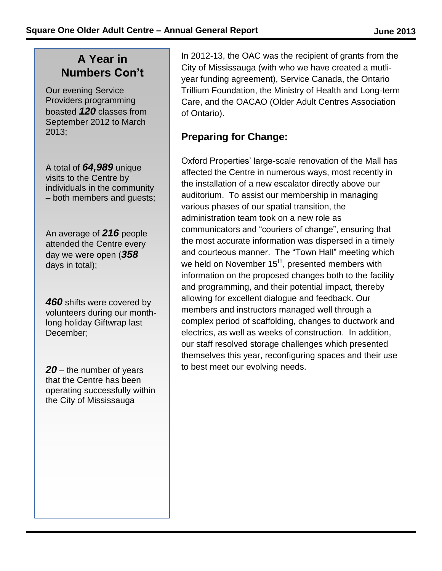#### **A Year in Numbers Con't**

Our evening Service Providers programming boasted *120* classes from September 2012 to March 2013;

A total of *64,989* unique visits to the Centre by individuals in the community – both members and guests;

An average of *216* people attended the Centre every day we were open (*358* days in total);

*460* shifts were covered by volunteers during our monthlong holiday Giftwrap last December;

*20* – the number of years that the Centre has been operating successfully within the City of Mississauga

City of Mississauga (with who we have created a mutli**interdum** year funding agreement), Service Canada, the Ontario In 2012-13, the OAC was the recipient of grants from the Trillium Foundation, the Ministry of Health and Long-term Care, and the OACAO (Older Adult Centres Association of Ontario).

#### **Preparing for Change:**

Oxford Properties' large-scale renovation of the Mall has affected the Centre in numerous ways, most recently in the installation of a new escalator directly above our auditorium. To assist our membership in managing various phases of our spatial transition, the administration team took on a new role as communicators and "couriers of change", ensuring that the most accurate information was dispersed in a timely and courteous manner. The "Town Hall" meeting which we held on November 15<sup>th</sup>, presented members with information on the proposed changes both to the facility and programming, and their potential impact, thereby allowing for excellent dialogue and feedback. Our members and instructors managed well through a complex period of scaffolding, changes to ductwork and electrics, as well as weeks of construction. In addition, our staff resolved storage challenges which presented themselves this year, reconfiguring spaces and their use to best meet our evolving needs.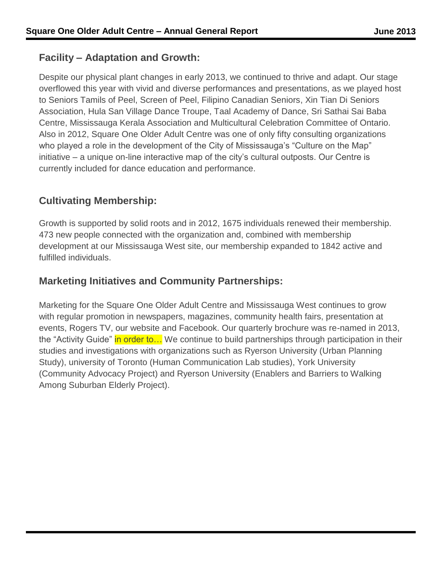#### **Facility – Adaptation and Growth:**

Despite our physical plant changes in early 2013, we continued to thrive and adapt. Our stage overflowed this year with vivid and diverse performances and presentations, as we played host to Seniors Tamils of Peel, Screen of Peel, Filipino Canadian Seniors, Xin Tian Di Seniors Association, Hula San Village Dance Troupe, Taal Academy of Dance, Sri Sathai Sai Baba Centre, Mississauga Kerala Association and Multicultural Celebration Committee of Ontario. Also in 2012, Square One Older Adult Centre was one of only fifty consulting organizations who played a role in the development of the City of Mississauga's "Culture on the Map" initiative – a unique on-line interactive map of the city's cultural outposts. Our Centre is currently included for dance education and performance.

#### **Cultivating Membership:**

Growth is supported by solid roots and in 2012, 1675 individuals renewed their membership. 473 new people connected with the organization and, combined with membership development at our Mississauga West site, our membership expanded to 1842 active and fulfilled individuals.

#### **Marketing Initiatives and Community Partnerships:**

Marketing for the Square One Older Adult Centre and Mississauga West continues to grow with regular promotion in newspapers, magazines, community health fairs, presentation at events, Rogers TV, our website and Facebook. Our quarterly brochure was re-named in 2013, the "Activity Guide" in order to... We continue to build partnerships through participation in their studies and investigations with organizations such as Ryerson University (Urban Planning Study), university of Toronto (Human Communication Lab studies), York University (Community Advocacy Project) and Ryerson University (Enablers and Barriers to Walking Among Suburban Elderly Project).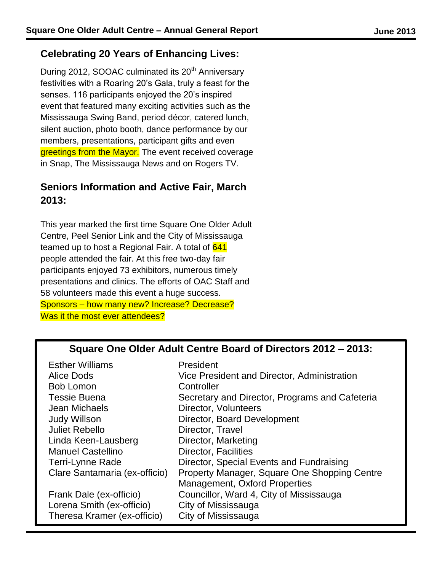#### **Celebrating 20 Years of Enhancing Lives:**

During 2012, SOOAC culminated its 20<sup>th</sup> Anniversary festivities with a Roaring 20's Gala, truly a feast for the senses. 116 participants enjoyed the 20's inspired event that featured many exciting activities such as the Mississauga Swing Band, period décor, catered lunch, silent auction, photo booth, dance performance by our members, presentations, participant gifts and even greetings from the Mayor. The event received coverage in Snap, The Mississauga News and on Rogers TV.

#### **Seniors Information and Active Fair, March 2013:**

This year marked the first time Square One Older Adult Centre, Peel Senior Link and the City of Mississauga teamed up to host a Regional Fair. A total of 641 people attended the fair. At this free two-day fair participants enjoyed 73 exhibitors, numerous timely presentations and clinics. The efforts of OAC Staff and 58 volunteers made this event a huge success. Sponsors – how many new? Increase? Decrease? Was it the most ever attendees?

#### **Square One Older Adult Centre Board of Directors 2012 – 2013:**

| President                                      |
|------------------------------------------------|
| Vice President and Director, Administration    |
| Controller                                     |
| Secretary and Director, Programs and Cafeteria |
| Director, Volunteers                           |
| Director, Board Development                    |
| Director, Travel                               |
| Director, Marketing                            |
| Director, Facilities                           |
| Director, Special Events and Fundraising       |
| Property Manager, Square One Shopping Centre   |
| <b>Management, Oxford Properties</b>           |
| Councillor, Ward 4, City of Mississauga        |
| City of Mississauga                            |
| City of Mississauga                            |
|                                                |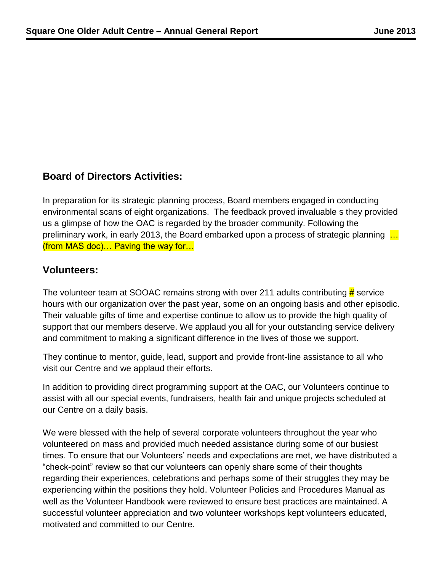#### **Board of Directors Activities:**

In preparation for its strategic planning process, Board members engaged in conducting environmental scans of eight organizations. The feedback proved invaluable s they provided us a glimpse of how the OAC is regarded by the broader community. Following the preliminary work, in early 2013, the Board embarked upon a process of strategic planning ... (from MAS doc)… Paving the way for…

#### **Volunteers:**

The volunteer team at SOOAC remains strong with over 211 adults contributing  $\frac{\mu}{H}$  service hours with our organization over the past year, some on an ongoing basis and other episodic. Their valuable gifts of time and expertise continue to allow us to provide the high quality of support that our members deserve. We applaud you all for your outstanding service delivery and commitment to making a significant difference in the lives of those we support.

They continue to mentor, guide, lead, support and provide front-line assistance to all who visit our Centre and we applaud their efforts.

In addition to providing direct programming support at the OAC, our Volunteers continue to assist with all our special events, fundraisers, health fair and unique projects scheduled at our Centre on a daily basis.

We were blessed with the help of several corporate volunteers throughout the year who volunteered on mass and provided much needed assistance during some of our busiest times. To ensure that our Volunteers' needs and expectations are met, we have distributed a "check-point" review so that our volunteers can openly share some of their thoughts regarding their experiences, celebrations and perhaps some of their struggles they may be experiencing within the positions they hold. Volunteer Policies and Procedures Manual as well as the Volunteer Handbook were reviewed to ensure best practices are maintained. A successful volunteer appreciation and two volunteer workshops kept volunteers educated, motivated and committed to our Centre.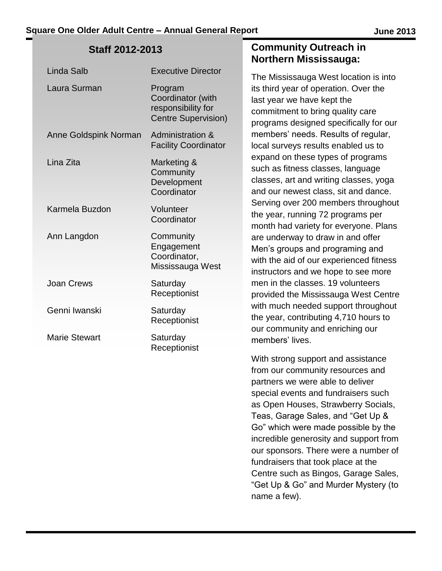#### **Staff 2012-2013**

| <b>Linda Salb</b>     | <b>Executive Director</b>                                                        |
|-----------------------|----------------------------------------------------------------------------------|
| Laura Surman          | Program<br>Coordinator (with<br>responsibility for<br><b>Centre Supervision)</b> |
| Anne Goldspink Norman | <b>Administration &amp;</b><br><b>Facility Coordinator</b>                       |
| Lina Zita             | Marketing &<br>Community<br>Development<br>Coordinator                           |
| Karmela Buzdon        | Volunteer<br>Coordinator                                                         |
| Ann Langdon           | Community<br>Engagement<br>Coordinator,<br>Mississauga West                      |
| <b>Joan Crews</b>     | Saturday<br>Receptionist                                                         |
| Genni Iwanski         | Saturday<br>Receptionist                                                         |
| <b>Marie Stewart</b>  | Saturday<br>Receptionist                                                         |

#### **Community Outreach in Northern Mississauga:**

The Mississauga West location is into its third year of operation. Over the last year we have kept the commitment to bring quality care programs designed specifically for our members' needs. Results of regular, local surveys results enabled us to expand on these types of programs such as fitness classes, language classes, art and writing classes, yoga and our newest class, sit and dance. Serving over 200 members throughout the year, running 72 programs per month had variety for everyone. Plans are underway to draw in and offer Men's groups and programing and with the aid of our experienced fitness instructors and we hope to see more men in the classes. 19 volunteers provided the Mississauga West Centre with much needed support throughout the year, contributing 4,710 hours to our community and enriching our members' lives.

With strong support and assistance from our community resources and partners we were able to deliver special events and fundraisers such as Open Houses, Strawberry Socials, Teas, Garage Sales, and "Get Up & Go" which were made possible by the incredible generosity and support from our sponsors. There were a number of fundraisers that took place at the Centre such as Bingos, Garage Sales, "Get Up & Go" and Murder Mystery (to name a few).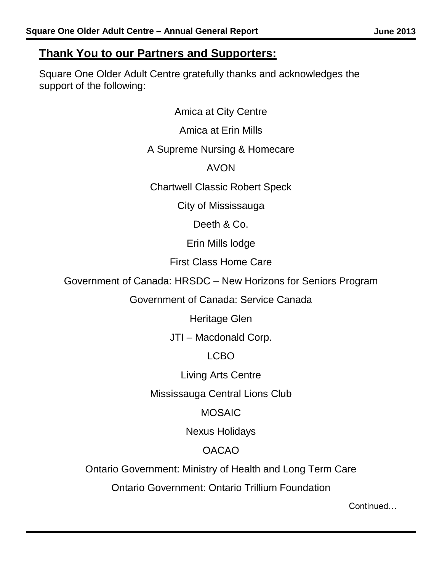#### **Thank You to our Partners and Supporters:**

Square One Older Adult Centre gratefully thanks and acknowledges the support of the following:

> Amica at City Centre Amica at Erin Mills

#### A Supreme Nursing & Homecare

#### AVON

Chartwell Classic Robert Speck

City of Mississauga

Deeth & Co.

Erin Mills lodge

First Class Home Care

Government of Canada: HRSDC – New Horizons for Seniors Program

Government of Canada: Service Canada

Heritage Glen

JTI – Macdonald Corp.

LCBO

Living Arts Centre

Mississauga Central Lions Club

MOSAIC

Nexus Holidays

### OACAO

Ontario Government: Ministry of Health and Long Term Care

Ontario Government: Ontario Trillium Foundation

Continued…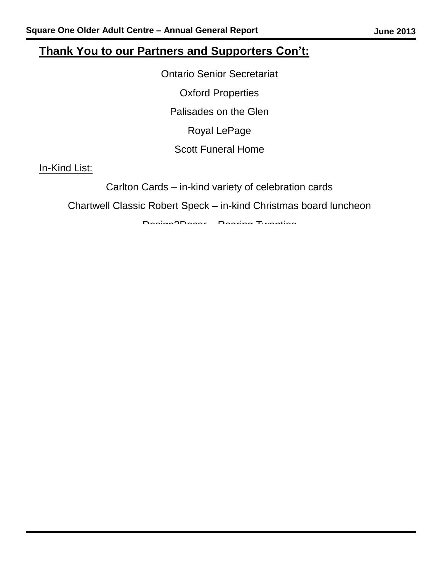### **Thank You to our Partners and Supporters Con't:**

Ontario Senior Secretariat Oxford Properties Palisades on the Glen Royal LePage Scott Funeral Home

In-Kind List:

Carlton Cards – in-kind variety of celebration cards

Chartwell Classic Robert Speck – in-kind Christmas board luncheon

Design2Decor – Roaring Twenties